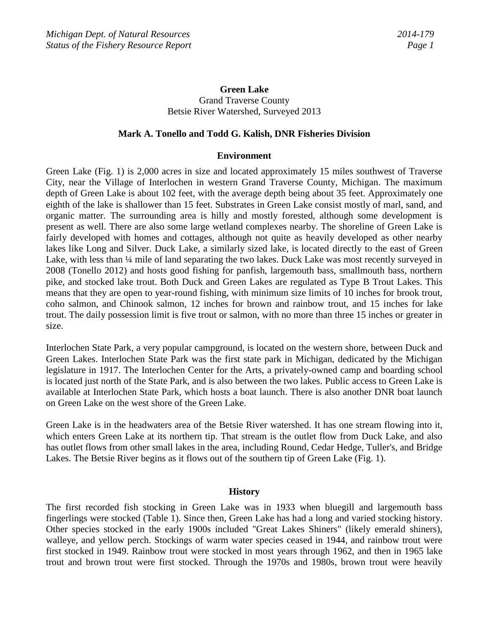# **Green Lake** Grand Traverse County Betsie River Watershed, Surveyed 2013

#### **Mark A. Tonello and Todd G. Kalish, DNR Fisheries Division**

#### **Environment**

Green Lake (Fig. 1) is 2,000 acres in size and located approximately 15 miles southwest of Traverse City, near the Village of Interlochen in western Grand Traverse County, Michigan. The maximum depth of Green Lake is about 102 feet, with the average depth being about 35 feet. Approximately one eighth of the lake is shallower than 15 feet. Substrates in Green Lake consist mostly of marl, sand, and organic matter. The surrounding area is hilly and mostly forested, although some development is present as well. There are also some large wetland complexes nearby. The shoreline of Green Lake is fairly developed with homes and cottages, although not quite as heavily developed as other nearby lakes like Long and Silver. Duck Lake, a similarly sized lake, is located directly to the east of Green Lake, with less than  $\frac{1}{4}$  mile of land separating the two lakes. Duck Lake was most recently surveyed in 2008 (Tonello 2012) and hosts good fishing for panfish, largemouth bass, smallmouth bass, northern pike, and stocked lake trout. Both Duck and Green Lakes are regulated as Type B Trout Lakes. This means that they are open to year-round fishing, with minimum size limits of 10 inches for brook trout, coho salmon, and Chinook salmon, 12 inches for brown and rainbow trout, and 15 inches for lake trout. The daily possession limit is five trout or salmon, with no more than three 15 inches or greater in size.

Interlochen State Park, a very popular campground, is located on the western shore, between Duck and Green Lakes. Interlochen State Park was the first state park in Michigan, dedicated by the Michigan legislature in 1917. The Interlochen Center for the Arts, a privately-owned camp and boarding school is located just north of the State Park, and is also between the two lakes. Public access to Green Lake is available at Interlochen State Park, which hosts a boat launch. There is also another DNR boat launch on Green Lake on the west shore of the Green Lake.

Green Lake is in the headwaters area of the Betsie River watershed. It has one stream flowing into it, which enters Green Lake at its northern tip. That stream is the outlet flow from Duck Lake, and also has outlet flows from other small lakes in the area, including Round, Cedar Hedge, Tuller's, and Bridge Lakes. The Betsie River begins as it flows out of the southern tip of Green Lake (Fig. 1).

#### **History**

The first recorded fish stocking in Green Lake was in 1933 when bluegill and largemouth bass fingerlings were stocked (Table 1). Since then, Green Lake has had a long and varied stocking history. Other species stocked in the early 1900s included "Great Lakes Shiners" (likely emerald shiners), walleye, and yellow perch. Stockings of warm water species ceased in 1944, and rainbow trout were first stocked in 1949. Rainbow trout were stocked in most years through 1962, and then in 1965 lake trout and brown trout were first stocked. Through the 1970s and 1980s, brown trout were heavily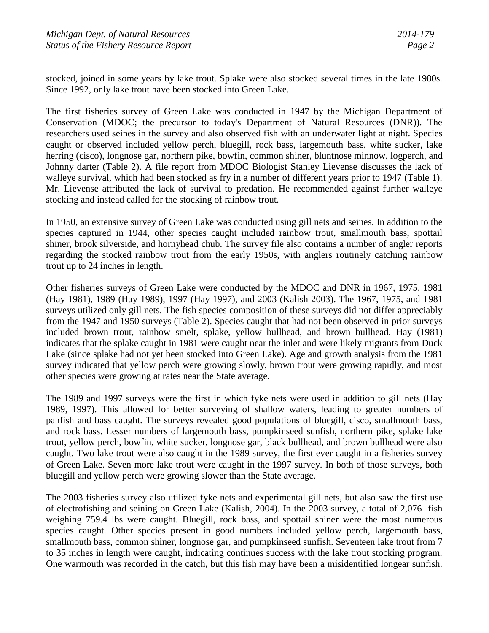stocked, joined in some years by lake trout. Splake were also stocked several times in the late 1980s. Since 1992, only lake trout have been stocked into Green Lake.

The first fisheries survey of Green Lake was conducted in 1947 by the Michigan Department of Conservation (MDOC; the precursor to today's Department of Natural Resources (DNR)). The researchers used seines in the survey and also observed fish with an underwater light at night. Species caught or observed included yellow perch, bluegill, rock bass, largemouth bass, white sucker, lake herring (cisco), longnose gar, northern pike, bowfin, common shiner, bluntnose minnow, logperch, and Johnny darter (Table 2). A file report from MDOC Biologist Stanley Lievense discusses the lack of walleye survival, which had been stocked as fry in a number of different years prior to 1947 (Table 1). Mr. Lievense attributed the lack of survival to predation. He recommended against further walleye stocking and instead called for the stocking of rainbow trout.

In 1950, an extensive survey of Green Lake was conducted using gill nets and seines. In addition to the species captured in 1944, other species caught included rainbow trout, smallmouth bass, spottail shiner, brook silverside, and hornyhead chub. The survey file also contains a number of angler reports regarding the stocked rainbow trout from the early 1950s, with anglers routinely catching rainbow trout up to 24 inches in length.

Other fisheries surveys of Green Lake were conducted by the MDOC and DNR in 1967, 1975, 1981 (Hay 1981), 1989 (Hay 1989), 1997 (Hay 1997), and 2003 (Kalish 2003). The 1967, 1975, and 1981 surveys utilized only gill nets. The fish species composition of these surveys did not differ appreciably from the 1947 and 1950 surveys (Table 2). Species caught that had not been observed in prior surveys included brown trout, rainbow smelt, splake, yellow bullhead, and brown bullhead. Hay (1981) indicates that the splake caught in 1981 were caught near the inlet and were likely migrants from Duck Lake (since splake had not yet been stocked into Green Lake). Age and growth analysis from the 1981 survey indicated that yellow perch were growing slowly, brown trout were growing rapidly, and most other species were growing at rates near the State average.

The 1989 and 1997 surveys were the first in which fyke nets were used in addition to gill nets (Hay 1989, 1997). This allowed for better surveying of shallow waters, leading to greater numbers of panfish and bass caught. The surveys revealed good populations of bluegill, cisco, smallmouth bass, and rock bass. Lesser numbers of largemouth bass, pumpkinseed sunfish, northern pike, splake lake trout, yellow perch, bowfin, white sucker, longnose gar, black bullhead, and brown bullhead were also caught. Two lake trout were also caught in the 1989 survey, the first ever caught in a fisheries survey of Green Lake. Seven more lake trout were caught in the 1997 survey. In both of those surveys, both bluegill and yellow perch were growing slower than the State average.

The 2003 fisheries survey also utilized fyke nets and experimental gill nets, but also saw the first use of electrofishing and seining on Green Lake (Kalish, 2004). In the 2003 survey, a total of 2,076 fish weighing 759.4 lbs were caught. Bluegill, rock bass, and spottail shiner were the most numerous species caught. Other species present in good numbers included yellow perch, largemouth bass, smallmouth bass, common shiner, longnose gar, and pumpkinseed sunfish. Seventeen lake trout from 7 to 35 inches in length were caught, indicating continues success with the lake trout stocking program. One warmouth was recorded in the catch, but this fish may have been a misidentified longear sunfish.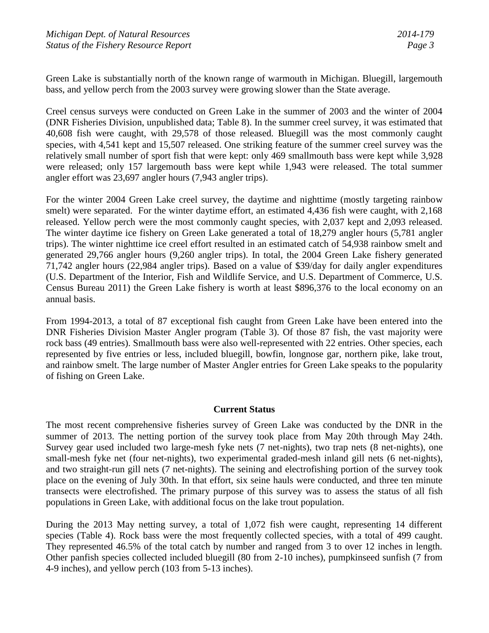Green Lake is substantially north of the known range of warmouth in Michigan. Bluegill, largemouth bass, and yellow perch from the 2003 survey were growing slower than the State average.

Creel census surveys were conducted on Green Lake in the summer of 2003 and the winter of 2004 (DNR Fisheries Division, unpublished data; Table 8). In the summer creel survey, it was estimated that 40,608 fish were caught, with 29,578 of those released. Bluegill was the most commonly caught species, with 4,541 kept and 15,507 released. One striking feature of the summer creel survey was the relatively small number of sport fish that were kept: only 469 smallmouth bass were kept while 3,928 were released; only 157 largemouth bass were kept while 1,943 were released. The total summer angler effort was 23,697 angler hours (7,943 angler trips).

For the winter 2004 Green Lake creel survey, the daytime and nighttime (mostly targeting rainbow smelt) were separated. For the winter daytime effort, an estimated 4,436 fish were caught, with 2,168 released. Yellow perch were the most commonly caught species, with 2,037 kept and 2,093 released. The winter daytime ice fishery on Green Lake generated a total of 18,279 angler hours (5,781 angler trips). The winter nighttime ice creel effort resulted in an estimated catch of 54,938 rainbow smelt and generated 29,766 angler hours (9,260 angler trips). In total, the 2004 Green Lake fishery generated 71,742 angler hours (22,984 angler trips). Based on a value of \$39/day for daily angler expenditures (U.S. Department of the Interior, Fish and Wildlife Service, and U.S. Department of Commerce, U.S. Census Bureau 2011) the Green Lake fishery is worth at least \$896,376 to the local economy on an annual basis.

From 1994-2013, a total of 87 exceptional fish caught from Green Lake have been entered into the DNR Fisheries Division Master Angler program (Table 3). Of those 87 fish, the vast majority were rock bass (49 entries). Smallmouth bass were also well-represented with 22 entries. Other species, each represented by five entries or less, included bluegill, bowfin, longnose gar, northern pike, lake trout, and rainbow smelt. The large number of Master Angler entries for Green Lake speaks to the popularity of fishing on Green Lake.

## **Current Status**

The most recent comprehensive fisheries survey of Green Lake was conducted by the DNR in the summer of 2013. The netting portion of the survey took place from May 20th through May 24th. Survey gear used included two large-mesh fyke nets (7 net-nights), two trap nets (8 net-nights), one small-mesh fyke net (four net-nights), two experimental graded-mesh inland gill nets (6 net-nights), and two straight-run gill nets (7 net-nights). The seining and electrofishing portion of the survey took place on the evening of July 30th. In that effort, six seine hauls were conducted, and three ten minute transects were electrofished. The primary purpose of this survey was to assess the status of all fish populations in Green Lake, with additional focus on the lake trout population.

During the 2013 May netting survey, a total of 1,072 fish were caught, representing 14 different species (Table 4). Rock bass were the most frequently collected species, with a total of 499 caught. They represented 46.5% of the total catch by number and ranged from 3 to over 12 inches in length. Other panfish species collected included bluegill (80 from 2-10 inches), pumpkinseed sunfish (7 from 4-9 inches), and yellow perch (103 from 5-13 inches).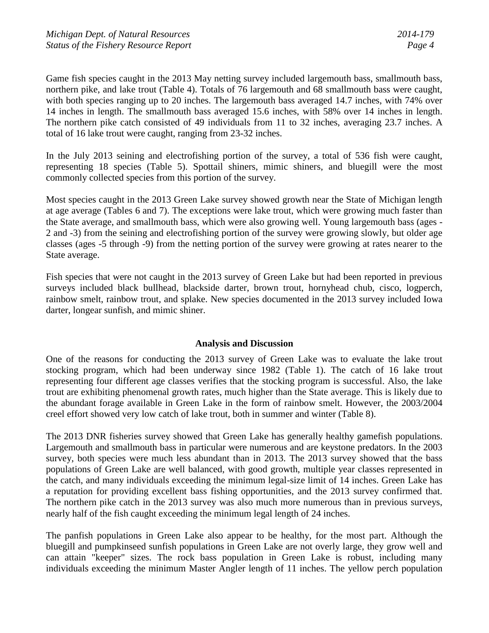Game fish species caught in the 2013 May netting survey included largemouth bass, smallmouth bass, northern pike, and lake trout (Table 4). Totals of 76 largemouth and 68 smallmouth bass were caught, with both species ranging up to 20 inches. The largemouth bass averaged 14.7 inches, with 74% over 14 inches in length. The smallmouth bass averaged 15.6 inches, with 58% over 14 inches in length. The northern pike catch consisted of 49 individuals from 11 to 32 inches, averaging 23.7 inches. A total of 16 lake trout were caught, ranging from 23-32 inches.

In the July 2013 seining and electrofishing portion of the survey, a total of 536 fish were caught, representing 18 species (Table 5). Spottail shiners, mimic shiners, and bluegill were the most commonly collected species from this portion of the survey.

Most species caught in the 2013 Green Lake survey showed growth near the State of Michigan length at age average (Tables 6 and 7). The exceptions were lake trout, which were growing much faster than the State average, and smallmouth bass, which were also growing well. Young largemouth bass (ages - 2 and -3) from the seining and electrofishing portion of the survey were growing slowly, but older age classes (ages -5 through -9) from the netting portion of the survey were growing at rates nearer to the State average.

Fish species that were not caught in the 2013 survey of Green Lake but had been reported in previous surveys included black bullhead, blackside darter, brown trout, hornyhead chub, cisco, logperch, rainbow smelt, rainbow trout, and splake. New species documented in the 2013 survey included Iowa darter, longear sunfish, and mimic shiner.

## **Analysis and Discussion**

One of the reasons for conducting the 2013 survey of Green Lake was to evaluate the lake trout stocking program, which had been underway since 1982 (Table 1). The catch of 16 lake trout representing four different age classes verifies that the stocking program is successful. Also, the lake trout are exhibiting phenomenal growth rates, much higher than the State average. This is likely due to the abundant forage available in Green Lake in the form of rainbow smelt. However, the 2003/2004 creel effort showed very low catch of lake trout, both in summer and winter (Table 8).

The 2013 DNR fisheries survey showed that Green Lake has generally healthy gamefish populations. Largemouth and smallmouth bass in particular were numerous and are keystone predators. In the 2003 survey, both species were much less abundant than in 2013. The 2013 survey showed that the bass populations of Green Lake are well balanced, with good growth, multiple year classes represented in the catch, and many individuals exceeding the minimum legal-size limit of 14 inches. Green Lake has a reputation for providing excellent bass fishing opportunities, and the 2013 survey confirmed that. The northern pike catch in the 2013 survey was also much more numerous than in previous surveys, nearly half of the fish caught exceeding the minimum legal length of 24 inches.

The panfish populations in Green Lake also appear to be healthy, for the most part. Although the bluegill and pumpkinseed sunfish populations in Green Lake are not overly large, they grow well and can attain "keeper" sizes. The rock bass population in Green Lake is robust, including many individuals exceeding the minimum Master Angler length of 11 inches. The yellow perch population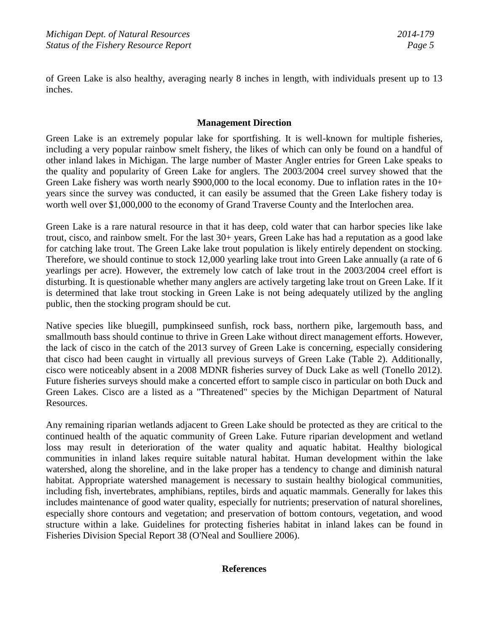of Green Lake is also healthy, averaging nearly 8 inches in length, with individuals present up to 13 inches.

# **Management Direction**

Green Lake is an extremely popular lake for sportfishing. It is well-known for multiple fisheries, including a very popular rainbow smelt fishery, the likes of which can only be found on a handful of other inland lakes in Michigan. The large number of Master Angler entries for Green Lake speaks to the quality and popularity of Green Lake for anglers. The 2003/2004 creel survey showed that the Green Lake fishery was worth nearly \$900,000 to the local economy. Due to inflation rates in the 10+ years since the survey was conducted, it can easily be assumed that the Green Lake fishery today is worth well over \$1,000,000 to the economy of Grand Traverse County and the Interlochen area.

Green Lake is a rare natural resource in that it has deep, cold water that can harbor species like lake trout, cisco, and rainbow smelt. For the last 30+ years, Green Lake has had a reputation as a good lake for catching lake trout. The Green Lake lake trout population is likely entirely dependent on stocking. Therefore, we should continue to stock 12,000 yearling lake trout into Green Lake annually (a rate of 6 yearlings per acre). However, the extremely low catch of lake trout in the 2003/2004 creel effort is disturbing. It is questionable whether many anglers are actively targeting lake trout on Green Lake. If it is determined that lake trout stocking in Green Lake is not being adequately utilized by the angling public, then the stocking program should be cut.

Native species like bluegill, pumpkinseed sunfish, rock bass, northern pike, largemouth bass, and smallmouth bass should continue to thrive in Green Lake without direct management efforts. However, the lack of cisco in the catch of the 2013 survey of Green Lake is concerning, especially considering that cisco had been caught in virtually all previous surveys of Green Lake (Table 2). Additionally, cisco were noticeably absent in a 2008 MDNR fisheries survey of Duck Lake as well (Tonello 2012). Future fisheries surveys should make a concerted effort to sample cisco in particular on both Duck and Green Lakes. Cisco are a listed as a "Threatened" species by the Michigan Department of Natural Resources.

Any remaining riparian wetlands adjacent to Green Lake should be protected as they are critical to the continued health of the aquatic community of Green Lake. Future riparian development and wetland loss may result in deterioration of the water quality and aquatic habitat. Healthy biological communities in inland lakes require suitable natural habitat. Human development within the lake watershed, along the shoreline, and in the lake proper has a tendency to change and diminish natural habitat. Appropriate watershed management is necessary to sustain healthy biological communities, including fish, invertebrates, amphibians, reptiles, birds and aquatic mammals. Generally for lakes this includes maintenance of good water quality, especially for nutrients; preservation of natural shorelines, especially shore contours and vegetation; and preservation of bottom contours, vegetation, and wood structure within a lake. Guidelines for protecting fisheries habitat in inland lakes can be found in Fisheries Division Special Report 38 (O'Neal and Soulliere 2006).

## **References**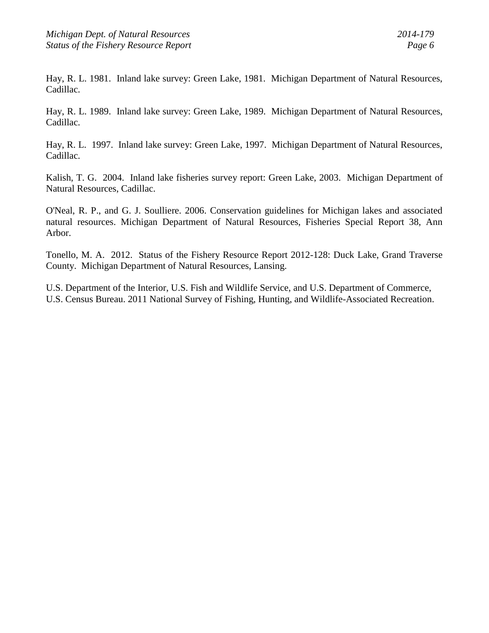Hay, R. L. 1981. Inland lake survey: Green Lake, 1981. Michigan Department of Natural Resources, Cadillac.

Hay, R. L. 1989. Inland lake survey: Green Lake, 1989. Michigan Department of Natural Resources, Cadillac.

Hay, R. L. 1997. Inland lake survey: Green Lake, 1997. Michigan Department of Natural Resources, Cadillac.

Kalish, T. G. 2004. Inland lake fisheries survey report: Green Lake, 2003. Michigan Department of Natural Resources, Cadillac.

O'Neal, R. P., and G. J. Soulliere. 2006. Conservation guidelines for Michigan lakes and associated natural resources. Michigan Department of Natural Resources, Fisheries Special Report 38, Ann Arbor.

Tonello, M. A. 2012. Status of the Fishery Resource Report 2012-128: Duck Lake, Grand Traverse County. Michigan Department of Natural Resources, Lansing.

U.S. Department of the Interior, U.S. Fish and Wildlife Service, and U.S. Department of Commerce, U.S. Census Bureau. 2011 National Survey of Fishing, Hunting, and Wildlife-Associated Recreation.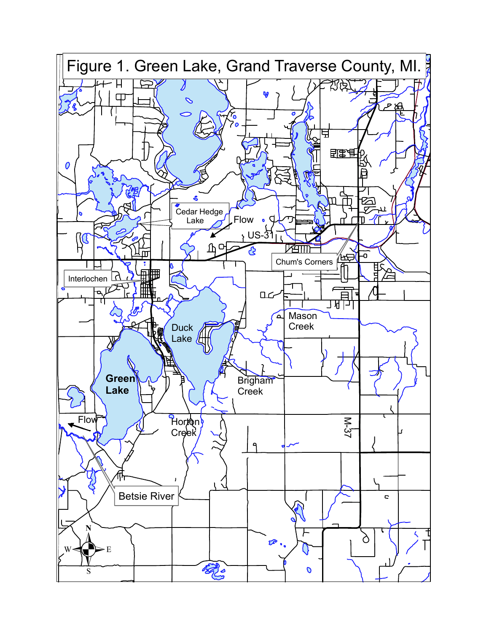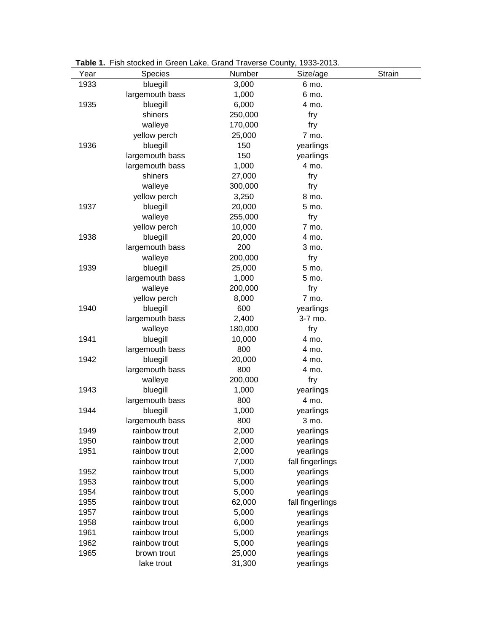| Year | <b>Species</b>  | Number  | Size/age         | <b>Strain</b> |
|------|-----------------|---------|------------------|---------------|
| 1933 | bluegill        | 3,000   | 6 mo.            |               |
|      | largemouth bass | 1,000   | 6 mo.            |               |
| 1935 | bluegill        | 6,000   | 4 mo.            |               |
|      | shiners         | 250,000 | fry              |               |
|      | walleye         | 170,000 | fry              |               |
|      | yellow perch    | 25,000  | 7 mo.            |               |
| 1936 | bluegill        | 150     | yearlings        |               |
|      | largemouth bass | 150     | yearlings        |               |
|      | largemouth bass | 1,000   | 4 mo.            |               |
|      | shiners         | 27,000  | fry              |               |
|      | walleye         | 300,000 | fry              |               |
|      | yellow perch    | 3,250   | 8 mo.            |               |
| 1937 | bluegill        | 20,000  | 5 mo.            |               |
|      | walleye         | 255,000 | fry              |               |
|      | yellow perch    | 10,000  | 7 mo.            |               |
| 1938 | bluegill        | 20,000  | 4 mo.            |               |
|      | largemouth bass | 200     | 3 mo.            |               |
|      | walleye         | 200,000 | fry              |               |
| 1939 | bluegill        | 25,000  | 5 mo.            |               |
|      | largemouth bass | 1,000   | 5 mo.            |               |
|      | walleye         | 200,000 | fry              |               |
|      | yellow perch    | 8,000   | 7 mo.            |               |
| 1940 | bluegill        | 600     | yearlings        |               |
|      | largemouth bass | 2,400   | 3-7 mo.          |               |
|      | walleye         | 180,000 | fry              |               |
| 1941 | bluegill        | 10,000  | 4 mo.            |               |
|      | largemouth bass | 800     | 4 mo.            |               |
| 1942 | bluegill        | 20,000  | 4 mo.            |               |
|      | largemouth bass | 800     | 4 mo.            |               |
|      | walleye         | 200,000 | fry              |               |
| 1943 | bluegill        | 1,000   | yearlings        |               |
|      | largemouth bass | 800     | 4 mo.            |               |
| 1944 | bluegill        | 1,000   | yearlings        |               |
|      | largemouth bass | 800     | 3 mo.            |               |
| 1949 | rainbow trout   | 2,000   | yearlings        |               |
| 1950 | rainbow trout   | 2,000   | yearlings        |               |
| 1951 | rainbow trout   | 2,000   | yearlings        |               |
|      | rainbow trout   | 7,000   | fall fingerlings |               |
| 1952 | rainbow trout   | 5,000   | yearlings        |               |
| 1953 | rainbow trout   | 5,000   | yearlings        |               |
| 1954 | rainbow trout   | 5,000   | yearlings        |               |
| 1955 | rainbow trout   | 62,000  | fall fingerlings |               |
| 1957 | rainbow trout   | 5,000   | yearlings        |               |
| 1958 | rainbow trout   | 6,000   | yearlings        |               |
| 1961 | rainbow trout   | 5,000   | yearlings        |               |
| 1962 | rainbow trout   | 5,000   | yearlings        |               |
| 1965 | brown trout     | 25,000  | yearlings        |               |
|      | lake trout      | 31,300  | yearlings        |               |

**Table 1.** Fish stocked in Green Lake, Grand Traverse County, 1933-2013.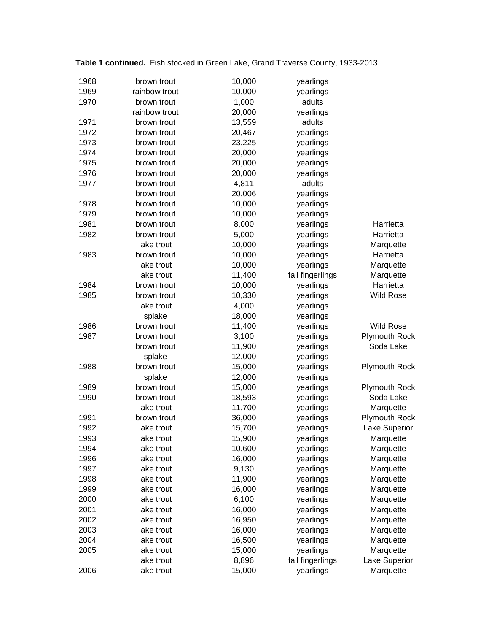| 1968 | brown trout   | 10,000 | yearlings        |                      |
|------|---------------|--------|------------------|----------------------|
| 1969 | rainbow trout | 10,000 | yearlings        |                      |
| 1970 | brown trout   | 1,000  | adults           |                      |
|      | rainbow trout | 20,000 | yearlings        |                      |
| 1971 | brown trout   | 13,559 | adults           |                      |
| 1972 | brown trout   | 20,467 | yearlings        |                      |
| 1973 | brown trout   | 23,225 | yearlings        |                      |
| 1974 | brown trout   | 20,000 | yearlings        |                      |
| 1975 | brown trout   | 20,000 | yearlings        |                      |
| 1976 | brown trout   | 20,000 | yearlings        |                      |
| 1977 | brown trout   | 4,811  | adults           |                      |
|      | brown trout   | 20,006 | yearlings        |                      |
| 1978 | brown trout   | 10,000 | yearlings        |                      |
| 1979 | brown trout   | 10,000 | yearlings        |                      |
| 1981 | brown trout   | 8,000  | yearlings        | Harrietta            |
| 1982 | brown trout   | 5,000  | yearlings        | Harrietta            |
|      | lake trout    | 10,000 | yearlings        | Marquette            |
| 1983 | brown trout   | 10,000 | yearlings        | Harrietta            |
|      | lake trout    | 10,000 | yearlings        | Marquette            |
|      | lake trout    | 11,400 | fall fingerlings | Marquette            |
| 1984 | brown trout   | 10,000 | yearlings        | Harrietta            |
| 1985 | brown trout   | 10,330 | yearlings        | <b>Wild Rose</b>     |
|      | lake trout    | 4,000  | yearlings        |                      |
|      | splake        | 18,000 |                  |                      |
|      |               |        | yearlings        |                      |
| 1986 | brown trout   | 11,400 | yearlings        | <b>Wild Rose</b>     |
| 1987 | brown trout   | 3,100  | yearlings        | <b>Plymouth Rock</b> |
|      | brown trout   | 11,900 | yearlings        | Soda Lake            |
|      | splake        | 12,000 | yearlings        |                      |
| 1988 | brown trout   | 15,000 | yearlings        | <b>Plymouth Rock</b> |
|      | splake        | 12,000 | yearlings        |                      |
| 1989 | brown trout   | 15,000 | yearlings        | Plymouth Rock        |
| 1990 | brown trout   | 18,593 | yearlings        | Soda Lake            |
|      | lake trout    | 11,700 | yearlings        | Marquette            |
| 1991 | brown trout   | 36,000 | yearlings        | <b>Plymouth Rock</b> |
| 1992 | lake trout    | 15,700 | yearlings        | Lake Superior        |
| 1993 | lake trout    | 15,900 | yearlings        | Marquette            |
| 1994 | lake trout    | 10,600 | yearlings        | Marquette            |
| 1996 | lake trout    | 16,000 | yearlings        | Marquette            |
| 1997 | lake trout    | 9,130  | yearlings        | Marquette            |
| 1998 | lake trout    | 11,900 | yearlings        | Marquette            |
| 1999 | lake trout    | 16,000 | yearlings        | Marquette            |
| 2000 | lake trout    | 6,100  | yearlings        | Marquette            |
| 2001 | lake trout    | 16,000 | yearlings        | Marquette            |
| 2002 | lake trout    | 16,950 | yearlings        | Marquette            |
| 2003 | lake trout    | 16,000 | yearlings        | Marquette            |
| 2004 | lake trout    | 16,500 | yearlings        | Marquette            |
| 2005 | lake trout    | 15,000 | yearlings        | Marquette            |
|      | lake trout    | 8,896  | fall fingerlings | Lake Superior        |
| 2006 | lake trout    | 15,000 | yearlings        | Marquette            |
|      |               |        |                  |                      |

**Table 1 continued.** Fish stocked in Green Lake, Grand Traverse County, 1933-2013.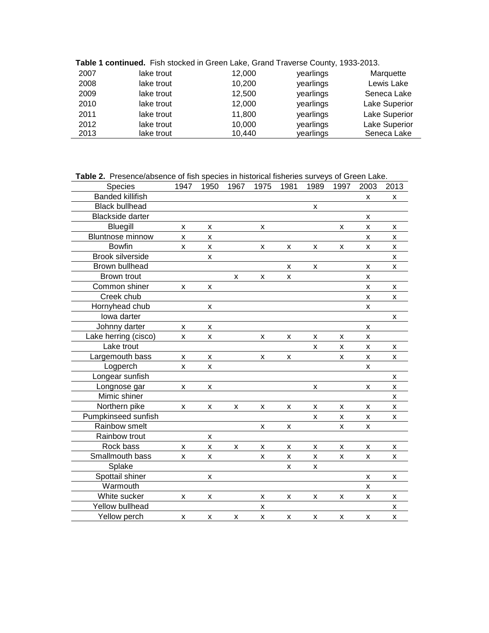|  |  |  |  | Table 1 continued. Fish stocked in Green Lake, Grand Traverse County, 1933-2013. |  |
|--|--|--|--|----------------------------------------------------------------------------------|--|
|--|--|--|--|----------------------------------------------------------------------------------|--|

| 2007 | lake trout | 12,000 | yearlings | Marquette            |
|------|------------|--------|-----------|----------------------|
| 2008 | lake trout | 10,200 | yearlings | Lewis Lake           |
| 2009 | lake trout | 12,500 | yearlings | Seneca Lake          |
| 2010 | lake trout | 12,000 | yearlings | Lake Superior        |
| 2011 | lake trout | 11,800 | yearlings | <b>Lake Superior</b> |
| 2012 | lake trout | 10,000 | yearlings | Lake Superior        |
| 2013 | lake trout | 10,440 | yearlings | Seneca Lake          |

**Table 2.** Presence/absence of fish species in historical fisheries surveys of Green Lake.

| Species                 | 1947               | 1950         | 1967           | 1975               | 1981           | 1989               | 1997               | 2003 | 2013 |
|-------------------------|--------------------|--------------|----------------|--------------------|----------------|--------------------|--------------------|------|------|
| <b>Banded killifish</b> |                    |              |                |                    |                |                    |                    | X    | X    |
| <b>Black bullhead</b>   |                    |              |                |                    |                | X                  |                    |      |      |
| <b>Blackside darter</b> |                    |              |                |                    |                |                    |                    | X    |      |
| <b>Bluegill</b>         | X                  | X            |                | X                  |                |                    | X                  | X    | x    |
| <b>Bluntnose minnow</b> | $\pmb{\mathsf{x}}$ | X            |                |                    |                |                    |                    | X    | X    |
| <b>Bowfin</b>           | X                  | X            |                | $\pmb{\mathsf{x}}$ | $\pmb{\times}$ | $\pmb{\mathsf{x}}$ | $\pmb{\mathsf{x}}$ | X    | X    |
| <b>Brook silverside</b> |                    | X            |                |                    |                |                    |                    |      | X    |
| Brown bullhead          |                    |              |                |                    | X              | X                  |                    | X    | X    |
| Brown trout             |                    |              | X              | X                  | X              |                    |                    | X    |      |
| Common shiner           | X                  | X            |                |                    |                |                    |                    | X    | X    |
| Creek chub              |                    |              |                |                    |                |                    |                    | X    | X    |
| Hornyhead chub          |                    | x            |                |                    |                |                    |                    | x    |      |
| lowa darter             |                    |              |                |                    |                |                    |                    |      | X    |
| Johnny darter           | X                  | X            |                |                    |                |                    |                    | X    |      |
| Lake herring (cisco)    | $\mathsf{X}$       | X            |                | X                  | X              | X                  | X                  | X    |      |
| Lake trout              |                    |              |                |                    |                | X                  | X                  | X    | X    |
| Largemouth bass         | X                  | X            |                | X                  | X              |                    | x                  | X    | x    |
| Logperch                | X                  | X            |                |                    |                |                    |                    | X    |      |
| Longear sunfish         |                    |              |                |                    |                |                    |                    |      | X    |
| Longnose gar            | X                  | X            |                |                    |                | x                  |                    | x    | x    |
| Mimic shiner            |                    |              |                |                    |                |                    |                    |      | x    |
| Northern pike           | X                  | X            | X              | X                  | X              | X                  | X                  | X    | X    |
| Pumpkinseed sunfish     |                    |              |                |                    |                | X                  | x                  | X    | x    |
| Rainbow smelt           |                    |              |                | X                  | X              |                    | X                  | X    |      |
| Rainbow trout           |                    | X            |                |                    |                |                    |                    |      |      |
| Rock bass               | $\mathsf{x}$       | X            | $\pmb{\times}$ | X                  | X              | X                  | X                  | X    | X    |
| Smallmouth bass         | $\mathsf{x}$       | $\mathsf{x}$ |                | X                  | X              | X                  | X                  | X    | X    |
| Splake                  |                    |              |                |                    | x              | x                  |                    |      |      |
| Spottail shiner         |                    | X            |                |                    |                |                    |                    | X    | x    |
| Warmouth                |                    |              |                |                    |                |                    |                    | X    |      |
| White sucker            | X                  | X            |                | X                  | X              | X                  | X                  | X    | x    |
| Yellow bullhead         |                    |              |                | X                  |                |                    |                    |      | X    |
| Yellow perch            | X                  | X            | X              | X                  | X              | X                  | X                  | X    | X    |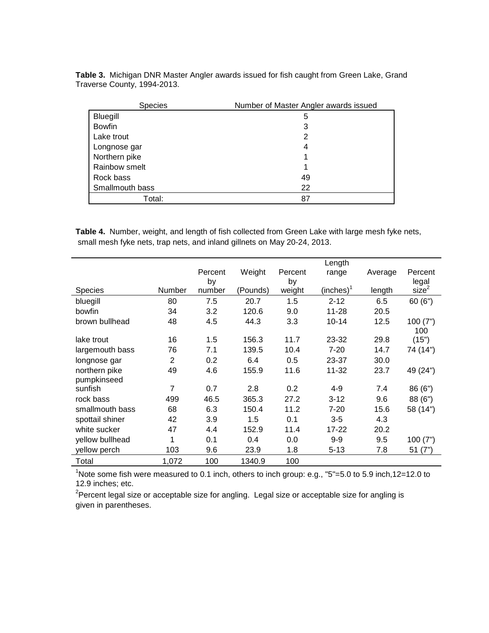| <b>Species</b>  | Number of Master Angler awards issued |
|-----------------|---------------------------------------|
| Bluegill        | 5                                     |
| <b>Bowfin</b>   | 3                                     |
| Lake trout      | 2                                     |
| Longnose gar    | 4                                     |
| Northern pike   |                                       |
| Rainbow smelt   | 1                                     |
| Rock bass       | 49                                    |
| Smallmouth bass | 22                                    |
| Total:          | 87                                    |

**Table 3.** Michigan DNR Master Angler awards issued for fish caught from Green Lake, Grand Traverse County, 1994-2013.

**Table 4.** Number, weight, and length of fish collected from Green Lake with large mesh fyke nets, small mesh fyke nets, trap nets, and inland gillnets on May 20-24, 2013.

|                 |        |               |          |               | Length                 |         |                            |
|-----------------|--------|---------------|----------|---------------|------------------------|---------|----------------------------|
|                 |        | Percent<br>by | Weight   | Percent<br>by | range                  | Average | Percent                    |
| <b>Species</b>  | Number | number        | (Pounds) | weight        | (inches) $^{\text{t}}$ | length  | legal<br>size <sup>2</sup> |
| bluegill        | 80     | 7.5           | 20.7     | 1.5           | $2 - 12$               | 6.5     | 60(6")                     |
| bowfin          | 34     | 3.2           | 120.6    | 9.0           | 11-28                  | 20.5    |                            |
| brown bullhead  | 48     | 4.5           | 44.3     | 3.3           | $10 - 14$              | 12.5    | 100(7")<br>100             |
| lake trout      | 16     | 1.5           | 156.3    | 11.7          | 23-32                  | 29.8    | (15")                      |
| largemouth bass | 76     | 7.1           | 139.5    | 10.4          | $7 - 20$               | 14.7    | 74 (14")                   |
| longnose gar    | 2      | 0.2           | 6.4      | 0.5           | 23-37                  | 30.0    |                            |
| northern pike   | 49     | 4.6           | 155.9    | 11.6          | 11-32                  | 23.7    | 49 (24")                   |
| pumpkinseed     |        |               |          |               |                        |         |                            |
| sunfish         | 7      | 0.7           | 2.8      | 0.2           | $4 - 9$                | 7.4     | 86 (6")                    |
| rock bass       | 499    | 46.5          | 365.3    | 27.2          | $3 - 12$               | 9.6     | 88 (6")                    |
| smallmouth bass | 68     | 6.3           | 150.4    | 11.2          | $7 - 20$               | 15.6    | 58 (14")                   |
| spottail shiner | 42     | 3.9           | 1.5      | 0.1           | $3-5$                  | 4.3     |                            |
| white sucker    | 47     | 4.4           | 152.9    | 11.4          | $17 - 22$              | 20.2    |                            |
| yellow bullhead | 1      | 0.1           | 0.4      | 0.0           | $9-9$                  | 9.5     | 100(7")                    |
| yellow perch    | 103    | 9.6           | 23.9     | 1.8           | $5 - 13$               | 7.8     | 51(7")                     |
| Total           | 1,072  | 100           | 1340.9   | 100           |                        |         |                            |

 $1$ Note some fish were measured to 0.1 inch, others to inch group: e.g., "5"=5.0 to 5.9 inch,12=12.0 to 12.9 inches; etc.

 $^{2}$ Percent legal size or acceptable size for angling. Legal size or acceptable size for angling is given in parentheses.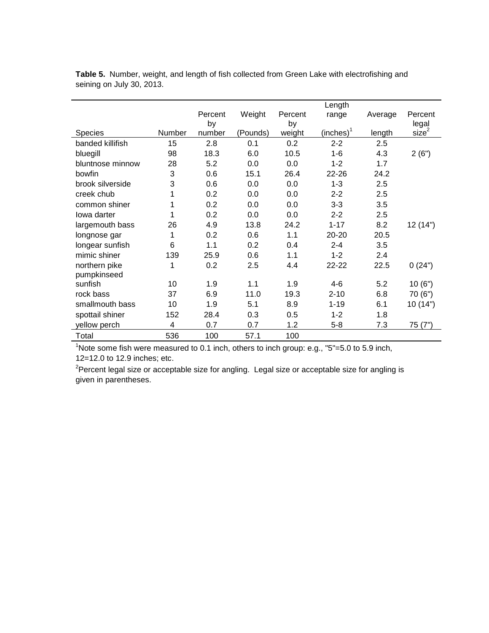|                  |        |         |          |         | Length       |         |                   |
|------------------|--------|---------|----------|---------|--------------|---------|-------------------|
|                  |        | Percent | Weight   | Percent | range        | Average | Percent           |
|                  |        | by      |          | by      |              |         | legal             |
| <b>Species</b>   | Number | number  | (Pounds) | weight  | $(inches)^1$ | length  | size <sup>2</sup> |
| banded killifish | 15     | 2.8     | 0.1      | 0.2     | $2 - 2$      | 2.5     |                   |
| bluegill         | 98     | 18.3    | 6.0      | 10.5    | $1 - 6$      | 4.3     | 2(6")             |
| bluntnose minnow | 28     | 5.2     | 0.0      | 0.0     | $1 - 2$      | 1.7     |                   |
| bowfin           | 3      | 0.6     | 15.1     | 26.4    | $22 - 26$    | 24.2    |                   |
| brook silverside | 3      | 0.6     | 0.0      | 0.0     | $1 - 3$      | 2.5     |                   |
| creek chub       | 1      | 0.2     | 0.0      | 0.0     | $2 - 2$      | 2.5     |                   |
| common shiner    | 1      | 0.2     | 0.0      | 0.0     | $3 - 3$      | 3.5     |                   |
| lowa darter      | 1      | 0.2     | 0.0      | 0.0     | $2 - 2$      | 2.5     |                   |
| largemouth bass  | 26     | 4.9     | 13.8     | 24.2    | $1 - 17$     | 8.2     | 12 (14")          |
| longnose gar     | 1      | 0.2     | 0.6      | 1.1     | $20 - 20$    | 20.5    |                   |
| longear sunfish  | 6      | 1.1     | 0.2      | 0.4     | $2 - 4$      | 3.5     |                   |
| mimic shiner     | 139    | 25.9    | 0.6      | 1.1     | $1 - 2$      | 2.4     |                   |
| northern pike    | 1      | 0.2     | 2.5      | 4.4     | 22-22        | 22.5    | 0(24")            |
| pumpkinseed      |        |         |          |         |              |         |                   |
| sunfish          | 10     | 1.9     | 1.1      | 1.9     | $4-6$        | 5.2     | 10(6")            |
| rock bass        | 37     | 6.9     | 11.0     | 19.3    | $2 - 10$     | 6.8     | 70 (6")           |
| smallmouth bass  | 10     | 1.9     | 5.1      | 8.9     | $1 - 19$     | 6.1     | 10 (14")          |
| spottail shiner  | 152    | 28.4    | 0.3      | 0.5     | $1 - 2$      | 1.8     |                   |
| yellow perch     | 4      | 0.7     | 0.7      | 1.2     | $5 - 8$      | 7.3     | 75 (7")           |
| Total            | 536    | 100     | 57.1     | 100     |              |         |                   |

**Table 5.** Number, weight, and length of fish collected from Green Lake with electrofishing and seining on July 30, 2013.

<sup>1</sup>Note some fish were measured to 0.1 inch, others to inch group: e.g., "5"=5.0 to 5.9 inch, 12=12.0 to 12.9 inches; etc.

 $^{2}$ Percent legal size or acceptable size for angling. Legal size or acceptable size for angling is given in parentheses.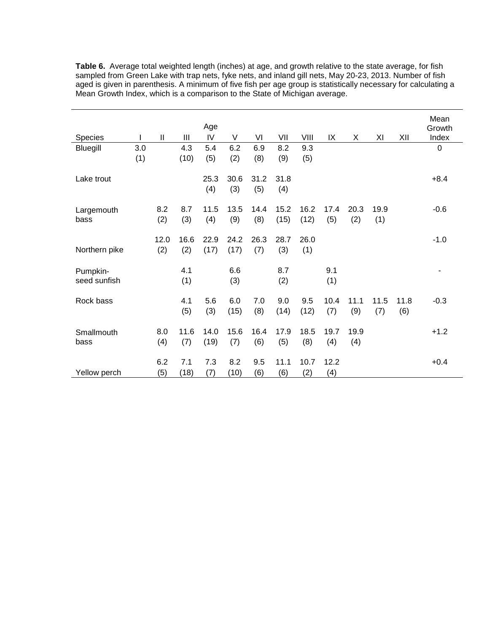|                    |     |               |      | Age         |             |             |             |      |      |      |      |      | Mean<br>Growth |
|--------------------|-----|---------------|------|-------------|-------------|-------------|-------------|------|------|------|------|------|----------------|
| Species            |     | $\mathsf{II}$ | Ш    | IV          | V           | VI          | VII         | VIII | IX   | X    | ΧI   | XII  | Index          |
| Bluegill           | 3.0 |               | 4.3  | 5.4         | 6.2         | 6.9         | 8.2         | 9.3  |      |      |      |      | $\pmb{0}$      |
|                    | (1) |               | (10) | (5)         | (2)         | (8)         | (9)         | (5)  |      |      |      |      |                |
| Lake trout         |     |               |      | 25.3<br>(4) | 30.6<br>(3) | 31.2<br>(5) | 31.8<br>(4) |      |      |      |      |      | $+8.4$         |
|                    |     | 8.2           | 8.7  | 11.5        | 13.5        | 14.4        | 15.2        | 16.2 | 17.4 | 20.3 | 19.9 |      | $-0.6$         |
| Largemouth<br>bass |     | (2)           | (3)  | (4)         | (9)         | (8)         | (15)        | (12) | (5)  | (2)  | (1)  |      |                |
|                    |     |               |      |             |             |             |             |      |      |      |      |      |                |
|                    |     | 12.0          | 16.6 | 22.9        | 24.2        | 26.3        | 28.7        | 26.0 |      |      |      |      | $-1.0$         |
| Northern pike      |     | (2)           | (2)  | (17)        | (17)        | (7)         | (3)         | (1)  |      |      |      |      |                |
|                    |     |               |      |             |             |             |             |      |      |      |      |      |                |
| Pumpkin-           |     |               | 4.1  |             | 6.6         |             | 8.7         |      | 9.1  |      |      |      | ۰              |
| seed sunfish       |     |               | (1)  |             | (3)         |             | (2)         |      | (1)  |      |      |      |                |
|                    |     |               |      |             |             |             |             |      |      |      |      |      |                |
| Rock bass          |     |               | 4.1  | 5.6         | 6.0         | 7.0         | 9.0         | 9.5  | 10.4 | 11.1 | 11.5 | 11.8 | $-0.3$         |
|                    |     |               | (5)  | (3)         | (15)        | (8)         | (14)        | (12) | (7)  | (9)  | (7)  | (6)  |                |
|                    |     |               |      |             |             |             |             |      |      |      |      |      |                |
| Smallmouth         |     | 8.0           | 11.6 | 14.0        | 15.6        | 16.4        | 17.9        | 18.5 | 19.7 | 19.9 |      |      | $+1.2$         |
| bass               |     | (4)           | (7)  | (19)        | (7)         | (6)         | (5)         | (8)  | (4)  | (4)  |      |      |                |
|                    |     |               |      |             |             |             |             |      |      |      |      |      |                |
|                    |     | 6.2           | 7.1  | 7.3         | 8.2         | 9.5         | 11.1        | 10.7 | 12.2 |      |      |      | $+0.4$         |
| Yellow perch       |     | (5)           | (18) | (7)         | (10)        | (6)         | (6)         | (2)  | (4)  |      |      |      |                |

**Table 6.** Average total weighted length (inches) at age, and growth relative to the state average, for fish sampled from Green Lake with trap nets, fyke nets, and inland gill nets, May 20-23, 2013. Number of fish aged is given in parenthesis. A minimum of five fish per age group is statistically necessary for calculating a Mean Growth Index, which is a comparison to the State of Michigan average.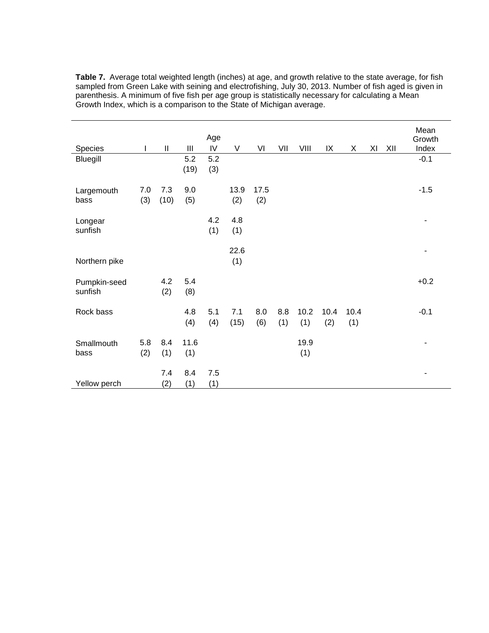| Species                 | T          | $\mathbf{I}$ | Ш           | Age<br>IV  | V           | VI          | VII        | VIII        | IX          | X           | XI | XII | Mean<br>Growth<br>Index |
|-------------------------|------------|--------------|-------------|------------|-------------|-------------|------------|-------------|-------------|-------------|----|-----|-------------------------|
| Bluegill                |            |              | 5.2<br>(19) | 5.2<br>(3) |             |             |            |             |             |             |    |     | $-0.1$                  |
| Largemouth<br>bass      | 7.0<br>(3) | 7.3<br>(10)  | 9.0<br>(5)  |            | 13.9<br>(2) | 17.5<br>(2) |            |             |             |             |    |     | $-1.5$                  |
| Longear<br>sunfish      |            |              |             | 4.2<br>(1) | 4.8<br>(1)  |             |            |             |             |             |    |     |                         |
| Northern pike           |            |              |             |            | 22.6<br>(1) |             |            |             |             |             |    |     | ٠                       |
| Pumpkin-seed<br>sunfish |            | 4.2<br>(2)   | 5.4<br>(8)  |            |             |             |            |             |             |             |    |     | $+0.2$                  |
| Rock bass               |            |              | 4.8<br>(4)  | 5.1<br>(4) | 7.1<br>(15) | 8.0<br>(6)  | 8.8<br>(1) | 10.2<br>(1) | 10.4<br>(2) | 10.4<br>(1) |    |     | $-0.1$                  |
| Smallmouth<br>bass      | 5.8<br>(2) | 8.4<br>(1)   | 11.6<br>(1) |            |             |             |            | 19.9<br>(1) |             |             |    |     |                         |
| Yellow perch            |            | 7.4<br>(2)   | 8.4<br>(1)  | 7.5<br>(1) |             |             |            |             |             |             |    |     | ۰                       |

**Table 7.** Average total weighted length (inches) at age, and growth relative to the state average, for fish sampled from Green Lake with seining and electrofishing, July 30, 2013. Number of fish aged is given in parenthesis. A minimum of five fish per age group is statistically necessary for calculating a Mean Growth Index, which is a comparison to the State of Michigan average.